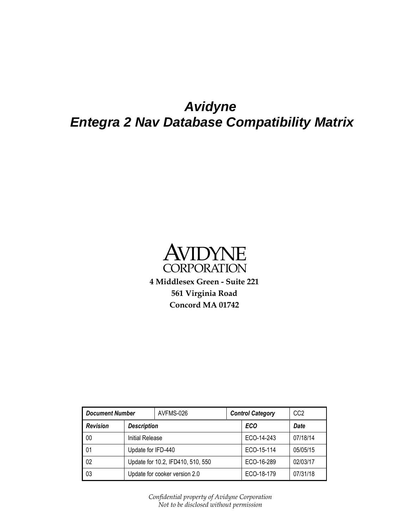# *Avidyne Entegra 2 Nav Database Compatibility Matrix*



| <b>Document Number</b> |                                   | AVFMS-026 |  | <b>Control Category</b> | CC <sub>2</sub> |
|------------------------|-----------------------------------|-----------|--|-------------------------|-----------------|
| <b>Revision</b>        | <b>Description</b>                |           |  | <b>ECO</b>              | <b>Date</b>     |
| 00                     | Initial Release                   |           |  | ECO-14-243              | 07/18/14        |
| 01                     | Update for IFD-440                |           |  | ECO-15-114              | 05/05/15        |
| 02                     | Update for 10.2, IFD410, 510, 550 |           |  | ECO-16-289              | 02/03/17        |
| 03                     | Update for cooker version 2.0     |           |  | ECO-18-179              | 07/31/18        |

*Confidential property of Avidyne Corporation Not to be disclosed without permission*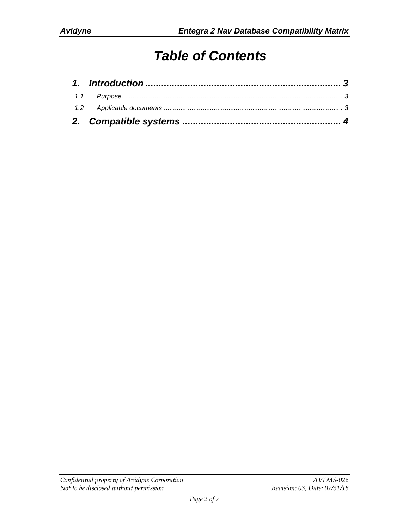# *Table of Contents*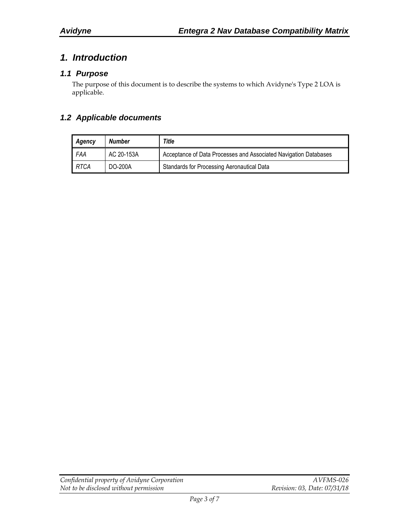### <span id="page-2-0"></span>*1. Introduction*

#### <span id="page-2-1"></span>*1.1 Purpose*

The purpose of this document is to describe the systems to which Avidyne's Type 2 LOA is applicable.

#### <span id="page-2-2"></span>*1.2 Applicable documents*

| Agency | Number     | Title                                                            |  |
|--------|------------|------------------------------------------------------------------|--|
| FAA    | AC 20-153A | Acceptance of Data Processes and Associated Navigation Databases |  |
| RTCA   | DO-200A    | Standards for Processing Aeronautical Data                       |  |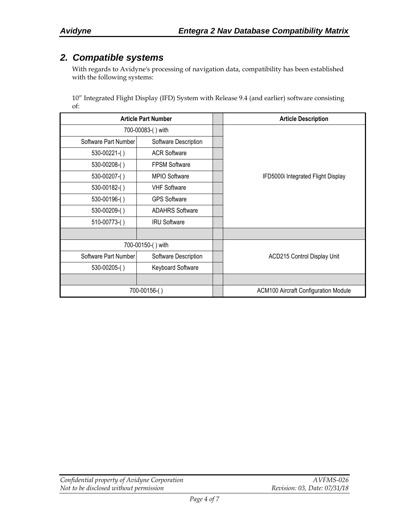### <span id="page-3-0"></span>*2. Compatible systems*

With regards to Avidyne's processing of navigation data, compatibility has been established with the following systems:

10" Integrated Flight Display (IFD) System with Release 9.4 (and earlier) software consisting of:

| <b>Article Part Number</b> |                        | <b>Article Description</b>                  |
|----------------------------|------------------------|---------------------------------------------|
|                            | 700-00083-() with      |                                             |
| Software Part Number       | Software Description   |                                             |
| $530-00221$ -()            | <b>ACR Software</b>    |                                             |
| 530-00208-()               | <b>FPSM Software</b>   |                                             |
| 530-00207-()               | MPIO Software          | IFD5000i Integrated Flight Display          |
| 530-00182-()               | <b>VHF Software</b>    |                                             |
| 530-00196-()               | <b>GPS Software</b>    |                                             |
| 530-00209-()               | <b>ADAHRS Software</b> |                                             |
| 510-00773-()               | <b>IRU Software</b>    |                                             |
|                            |                        |                                             |
|                            | 700-00150-() with      |                                             |
| Software Part Number       | Software Description   | <b>ACD215 Control Display Unit</b>          |
| $530 - 00205$ - $()$       | Keyboard Software      |                                             |
|                            |                        |                                             |
| 700-00156-()               |                        | <b>ACM100 Aircraft Configuration Module</b> |

| Confidential property of Avidyne Corporation | AVFMS-026                    |
|----------------------------------------------|------------------------------|
| Not to be disclosed without permission       | Revision: 03, Date: 07/31/18 |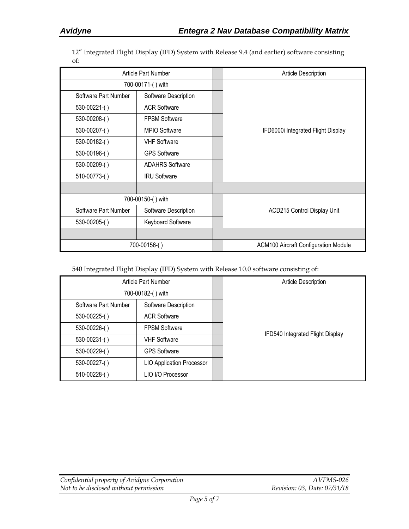12" Integrated Flight Display (IFD) System with Release 9.4 (and earlier) software consisting of:

| Article Part Number  |                        | <b>Article Description</b>                  |
|----------------------|------------------------|---------------------------------------------|
| 700-00171-() with    |                        |                                             |
| Software Part Number | Software Description   |                                             |
| $530-00221$ - $()$   | <b>ACR Software</b>    |                                             |
| 530-00208-()         | <b>FPSM Software</b>   |                                             |
| 530-00207-()         | MPIO Software          | IFD6000i Integrated Flight Display          |
| 530-00182-()         | <b>VHF Software</b>    |                                             |
| 530-00196-()         | <b>GPS Software</b>    |                                             |
| 530-00209-()         | <b>ADAHRS Software</b> |                                             |
| 510-00773-()         | <b>IRU Software</b>    |                                             |
|                      |                        |                                             |
|                      | 700-00150-() with      |                                             |
| Software Part Number | Software Description   | ACD215 Control Display Unit                 |
| $530 - 00205$ - $()$ | Keyboard Software      |                                             |
|                      |                        |                                             |
|                      | 700-00156-()           | <b>ACM100 Aircraft Configuration Module</b> |

540 Integrated Flight Display (IFD) System with Release 10.0 software consisting of:

| Article Part Number  |                                  |  | Article Description              |
|----------------------|----------------------------------|--|----------------------------------|
|                      | 700-00182-() with                |  |                                  |
| Software Part Number | Software Description             |  |                                  |
| 530-00225-()         | <b>ACR Software</b>              |  |                                  |
| 530-00226-()         | <b>FPSM Software</b>             |  |                                  |
| 530-00231-()         | <b>VHF Software</b>              |  | IFD540 Integrated Flight Display |
| 530-00229-()         | <b>GPS Software</b>              |  |                                  |
| 530-00227-()         | <b>LIO Application Processor</b> |  |                                  |
| 510-00228-()         | LIO I/O Processor                |  |                                  |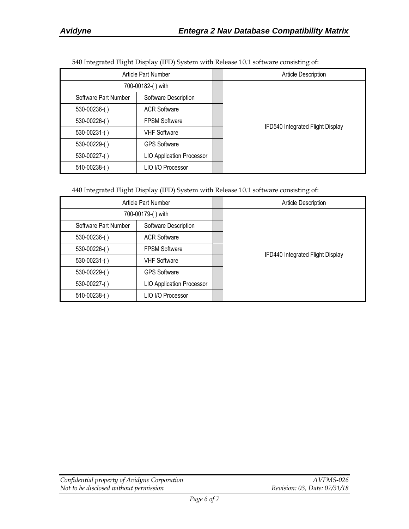| $\epsilon$           | $1$ $1$ $1$ $1$ $1$              | $\epsilon$                       |
|----------------------|----------------------------------|----------------------------------|
|                      | <b>Article Part Number</b>       | Article Description              |
|                      | 700-00182-() with                |                                  |
| Software Part Number | Software Description             |                                  |
| 530-00236-()         | <b>ACR Software</b>              |                                  |
| 530-00226-()         | <b>FPSM Software</b>             | IFD540 Integrated Flight Display |
| $530 - 00231$ -()    | <b>VHF Software</b>              |                                  |
| 530-00229-()         | <b>GPS Software</b>              |                                  |
| 530-00227-()         | <b>LIO Application Processor</b> |                                  |
| 510-00238-()         | LIO I/O Processor                |                                  |

540 Integrated Flight Display (IFD) System with Release 10.1 software consisting of:

440 Integrated Flight Display (IFD) System with Release 10.1 software consisting of:

| Article Part Number  |                                  | <b>Article Description</b>       |
|----------------------|----------------------------------|----------------------------------|
|                      | 700-00179-() with                |                                  |
| Software Part Number | Software Description             |                                  |
| 530-00236-()         | <b>ACR Software</b>              |                                  |
| 530-00226-()         | <b>FPSM Software</b>             | IFD440 Integrated Flight Display |
| $530 - 00231$ -()    | <b>VHF Software</b>              |                                  |
| 530-00229-()         | <b>GPS Software</b>              |                                  |
| 530-00227-()         | <b>LIO Application Processor</b> |                                  |
| $510-00238$ - $()$   | LIO I/O Processor                |                                  |

| Confidential property of Avidyne Corporation | AVFMS-026                    |
|----------------------------------------------|------------------------------|
| Not to be disclosed without permission       | Revision: 03, Date: 07/31/18 |